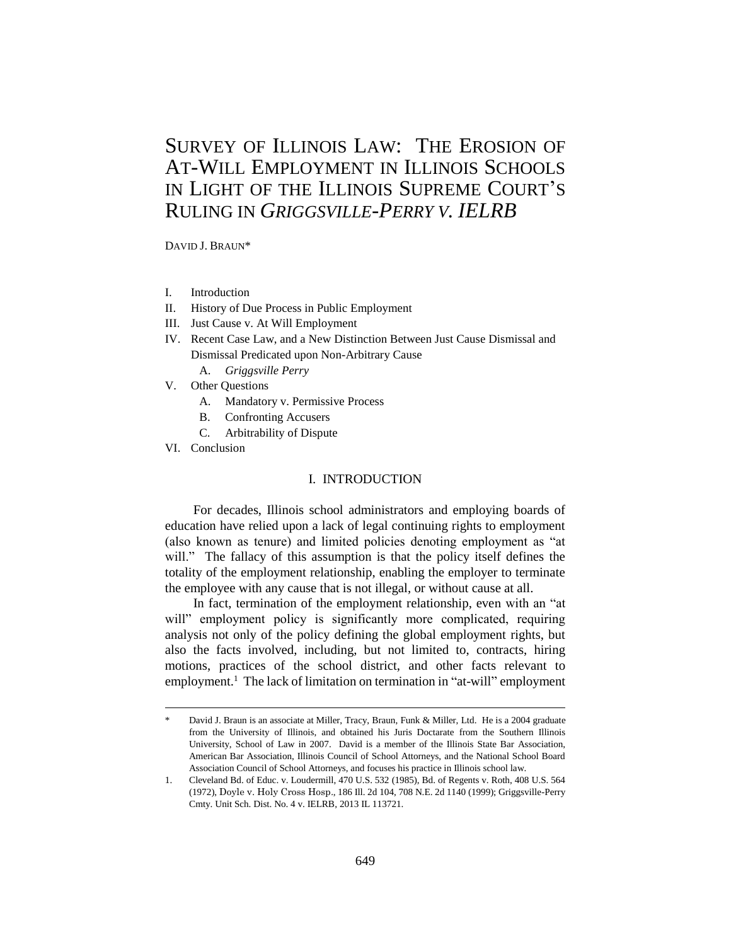# SURVEY OF ILLINOIS LAW: THE EROSION OF AT-WILL EMPLOYMENT IN ILLINOIS SCHOOLS IN LIGHT OF THE ILLINOIS SUPREME COURT'S RULING IN *GRIGGSVILLE-PERRY V. IELRB*

DAVID J. BRAUN\*

- I. Introduction
- II. History of Due Process in Public Employment
- III. Just Cause v. At Will Employment
- IV. Recent Case Law, and a New Distinction Between Just Cause Dismissal and Dismissal Predicated upon Non-Arbitrary Cause A. *Griggsville Perry*
- V. Other Questions
	- A. Mandatory v. Permissive Process
	- B. Confronting Accusers
	- C. Arbitrability of Dispute
- VI. Conclusion

-

## I. INTRODUCTION

For decades, Illinois school administrators and employing boards of education have relied upon a lack of legal continuing rights to employment (also known as tenure) and limited policies denoting employment as "at will." The fallacy of this assumption is that the policy itself defines the totality of the employment relationship, enabling the employer to terminate the employee with any cause that is not illegal, or without cause at all.

In fact, termination of the employment relationship, even with an "at will" employment policy is significantly more complicated, requiring analysis not only of the policy defining the global employment rights, but also the facts involved, including, but not limited to, contracts, hiring motions, practices of the school district, and other facts relevant to employment.<sup>1</sup> The lack of limitation on termination in "at-will" employment

David J. Braun is an associate at Miller, Tracy, Braun, Funk & Miller, Ltd. He is a 2004 graduate from the University of Illinois, and obtained his Juris Doctarate from the Southern Illinois University, School of Law in 2007. David is a member of the Illinois State Bar Association, American Bar Association, Illinois Council of School Attorneys, and the National School Board Association Council of School Attorneys, and focuses his practice in Illinois school law.

<sup>1.</sup> Cleveland Bd. of Educ. v. Loudermill, 470 U.S. 532 (1985), Bd. of Regents v. Roth, 408 U.S. 564 (1972), Doyle v. Holy Cross Hosp., 186 Ill. 2d 104, 708 N.E. 2d 1140 (1999); Griggsville-Perry Cmty. Unit Sch. Dist. No. 4 v. IELRB, 2013 IL 113721.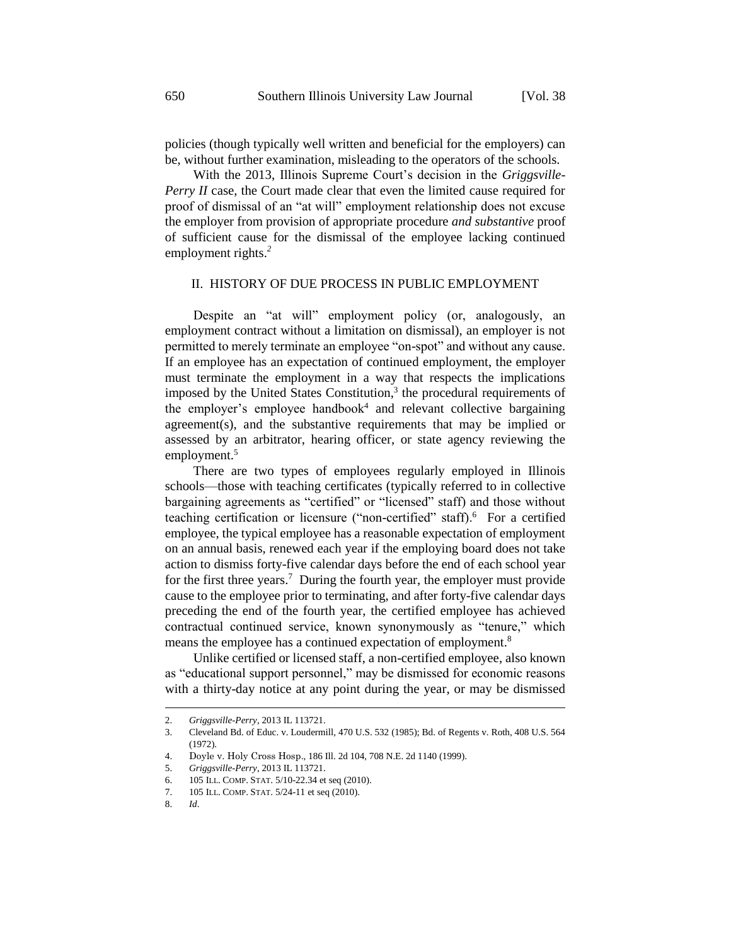be, without further examination, misleading to the operators of the schools.

With the 2013, Illinois Supreme Court's decision in the *Griggsville-Perry II* case, the Court made clear that even the limited cause required for proof of dismissal of an "at will" employment relationship does not excuse the employer from provision of appropriate procedure *and substantive* proof of sufficient cause for the dismissal of the employee lacking continued employment rights.*<sup>2</sup>*

# II. HISTORY OF DUE PROCESS IN PUBLIC EMPLOYMENT

Despite an "at will" employment policy (or, analogously, an employment contract without a limitation on dismissal), an employer is not permitted to merely terminate an employee "on-spot" and without any cause. If an employee has an expectation of continued employment, the employer must terminate the employment in a way that respects the implications imposed by the United States Constitution, 3 the procedural requirements of the employer's employee handbook<sup>4</sup> and relevant collective bargaining agreement(s), and the substantive requirements that may be implied or assessed by an arbitrator, hearing officer, or state agency reviewing the employment.<sup>5</sup>

There are two types of employees regularly employed in Illinois schools—those with teaching certificates (typically referred to in collective bargaining agreements as "certified" or "licensed" staff) and those without teaching certification or licensure ("non-certified" staff).<sup>6</sup> For a certified employee, the typical employee has a reasonable expectation of employment on an annual basis, renewed each year if the employing board does not take action to dismiss forty-five calendar days before the end of each school year for the first three years.<sup>7</sup> During the fourth year, the employer must provide cause to the employee prior to terminating, and after forty-five calendar days preceding the end of the fourth year, the certified employee has achieved contractual continued service, known synonymously as "tenure," which means the employee has a continued expectation of employment.<sup>8</sup>

Unlike certified or licensed staff, a non-certified employee, also known as "educational support personnel," may be dismissed for economic reasons with a thirty-day notice at any point during the year, or may be dismissed

<sup>2.</sup> *Griggsville-Perry*, 2013 IL 113721.

<sup>3.</sup> Cleveland Bd. of Educ. v. Loudermill, 470 U.S. 532 (1985); Bd. of Regents v. Roth, 408 U.S. 564 (1972).

<sup>4.</sup> Doyle v. Holy Cross Hosp., 186 Ill. 2d 104, 708 N.E. 2d 1140 (1999).

<sup>5.</sup> *Griggsville-Perry*, 2013 IL 113721.

<sup>6. 105</sup> ILL. COMP. STAT. 5/10-22.34 et seq (2010).

<sup>7. 105</sup> ILL. COMP. STAT. 5/24-11 et seq (2010).

<sup>8.</sup> *Id*.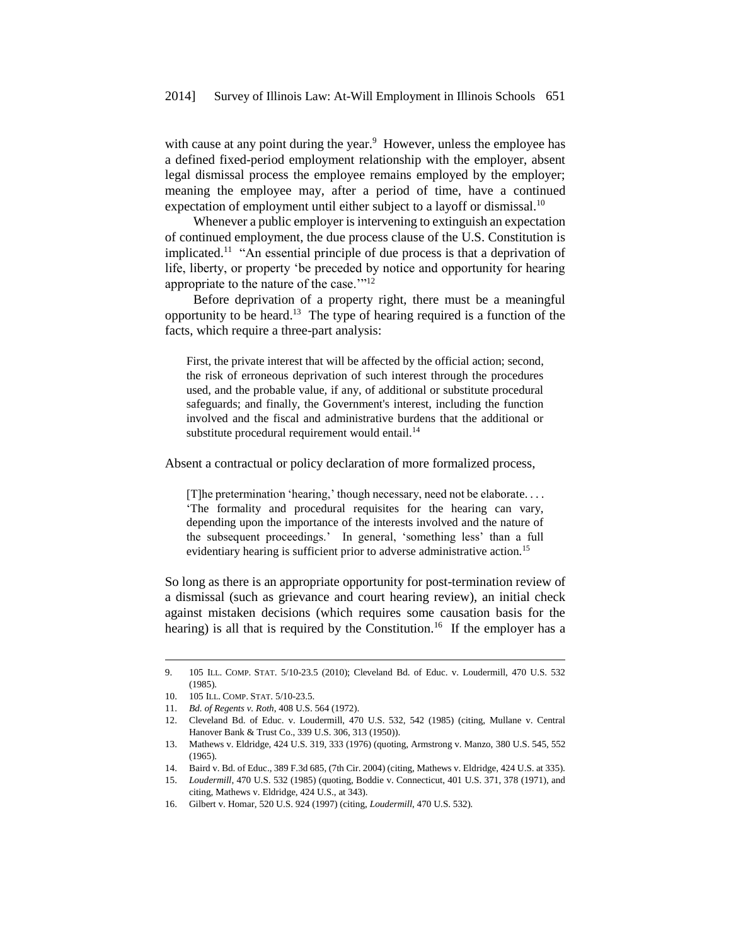with cause at any point during the year. $9$  However, unless the employee has a defined fixed-period employment relationship with the employer, absent legal dismissal process the employee remains employed by the employer; meaning the employee may, after a period of time, have a continued expectation of employment until either subject to a layoff or dismissal.<sup>10</sup>

Whenever a public employer is intervening to extinguish an expectation of continued employment, the due process clause of the U.S. Constitution is implicated.<sup>11</sup> "An essential principle of due process is that a deprivation of life, liberty, or property 'be preceded by notice and opportunity for hearing appropriate to the nature of the case.'"<sup>12</sup>

Before deprivation of a property right, there must be a meaningful opportunity to be heard. <sup>13</sup> The type of hearing required is a function of the facts, which require a three-part analysis:

First, the private interest that will be affected by the official action; second, the risk of erroneous deprivation of such interest through the procedures used, and the probable value, if any, of additional or substitute procedural safeguards; and finally, the Government's interest, including the function involved and the fiscal and administrative burdens that the additional or substitute procedural requirement would entail.<sup>14</sup>

Absent a contractual or policy declaration of more formalized process,

[T]he pretermination 'hearing,' though necessary, need not be elaborate. . . . 'The formality and procedural requisites for the hearing can vary, depending upon the importance of the interests involved and the nature of the subsequent proceedings.' In general, 'something less' than a full evidentiary hearing is sufficient prior to adverse administrative action.<sup>15</sup>

So long as there is an appropriate opportunity for post-termination review of a dismissal (such as grievance and court hearing review), an initial check against mistaken decisions (which requires some causation basis for the hearing) is all that is required by the Constitution.<sup>16</sup> If the employer has a

<sup>9. 105</sup> ILL. COMP. STAT. 5/10-23.5 (2010); Cleveland Bd. of Educ. v. Loudermill, 470 U.S. 532 (1985).

<sup>10. 105</sup> ILL. COMP. STAT. 5/10-23.5.

<sup>11.</sup> *Bd. of Regents v. Roth*, 408 U.S. 564 (1972).

<sup>12.</sup> Cleveland Bd. of Educ. v. Loudermill, 470 U.S. 532, 542 (1985) (citing, Mullane v. Central Hanover Bank & Trust Co., 339 U.S. 306, 313 (1950)).

<sup>13.</sup> Mathews v. Eldridge, 424 U.S. 319, 333 (1976) (quoting, Armstrong v. Manzo, 380 U.S. 545, 552 (1965).

<sup>14.</sup> Baird v. Bd. of Educ., 389 F.3d 685, (7th Cir. 2004) (citing, Mathews v. Eldridge, 424 U.S. at 335).

<sup>15.</sup> *Loudermill*, 470 U.S. 532 (1985) (quoting, Boddie v. Connecticut, 401 U.S. 371, 378 (1971), and citing, Mathews v. Eldridge, 424 U.S., at 343).

<sup>16.</sup> Gilbert v. Homar, 520 U.S. 924 (1997) (citing, *Loudermill*, 470 U.S. 532)*.*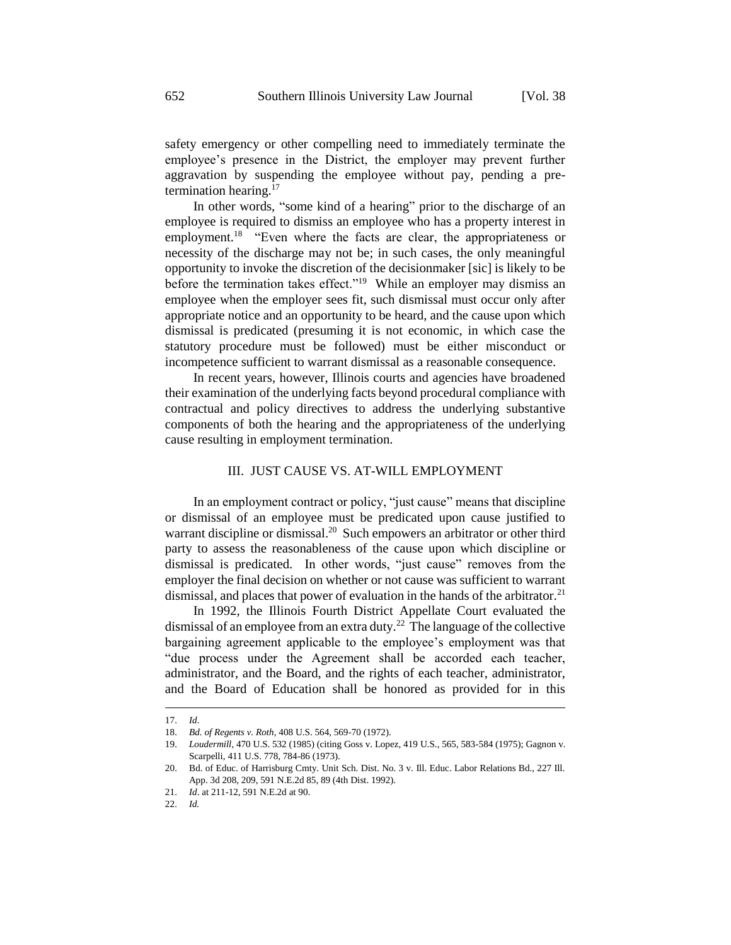safety emergency or other compelling need to immediately terminate the employee's presence in the District, the employer may prevent further aggravation by suspending the employee without pay, pending a pretermination hearing.<sup>17</sup>

In other words, "some kind of a hearing" prior to the discharge of an employee is required to dismiss an employee who has a property interest in employment.<sup>18</sup> "Even where the facts are clear, the appropriateness or necessity of the discharge may not be; in such cases, the only meaningful opportunity to invoke the discretion of the decisionmaker [sic] is likely to be before the termination takes effect."<sup>19</sup> While an employer may dismiss an employee when the employer sees fit, such dismissal must occur only after appropriate notice and an opportunity to be heard, and the cause upon which dismissal is predicated (presuming it is not economic, in which case the statutory procedure must be followed) must be either misconduct or incompetence sufficient to warrant dismissal as a reasonable consequence.

In recent years, however, Illinois courts and agencies have broadened their examination of the underlying facts beyond procedural compliance with contractual and policy directives to address the underlying substantive components of both the hearing and the appropriateness of the underlying cause resulting in employment termination.

#### III. JUST CAUSE VS. AT-WILL EMPLOYMENT

In an employment contract or policy, "just cause" means that discipline or dismissal of an employee must be predicated upon cause justified to warrant discipline or dismissal.<sup>20</sup> Such empowers an arbitrator or other third party to assess the reasonableness of the cause upon which discipline or dismissal is predicated. In other words, "just cause" removes from the employer the final decision on whether or not cause was sufficient to warrant dismissal, and places that power of evaluation in the hands of the arbitrator.<sup>21</sup>

In 1992, the Illinois Fourth District Appellate Court evaluated the dismissal of an employee from an extra duty.<sup>22</sup> The language of the collective bargaining agreement applicable to the employee's employment was that "due process under the Agreement shall be accorded each teacher, administrator, and the Board, and the rights of each teacher, administrator, and the Board of Education shall be honored as provided for in this

<sup>17.</sup> *Id*.

<sup>18.</sup> *Bd. of Regents v. Roth*, 408 U.S. 564, 569-70 (1972).

<sup>19.</sup> *Loudermill*, 470 U.S. 532 (1985) (citing Goss v. Lopez, 419 U.S., 565, 583-584 (1975); Gagnon v. Scarpelli, 411 U.S. 778, 784-86 (1973).

<sup>20.</sup> Bd. of Educ. of Harrisburg Cmty. Unit Sch. Dist. No. 3 v. Ill. Educ. Labor Relations Bd., 227 Ill. App. 3d 208, 209, 591 N.E.2d 85, 89 (4th Dist. 1992).

<sup>21.</sup> *Id*. at 211-12, 591 N.E.2d at 90.

<sup>22.</sup> *Id.*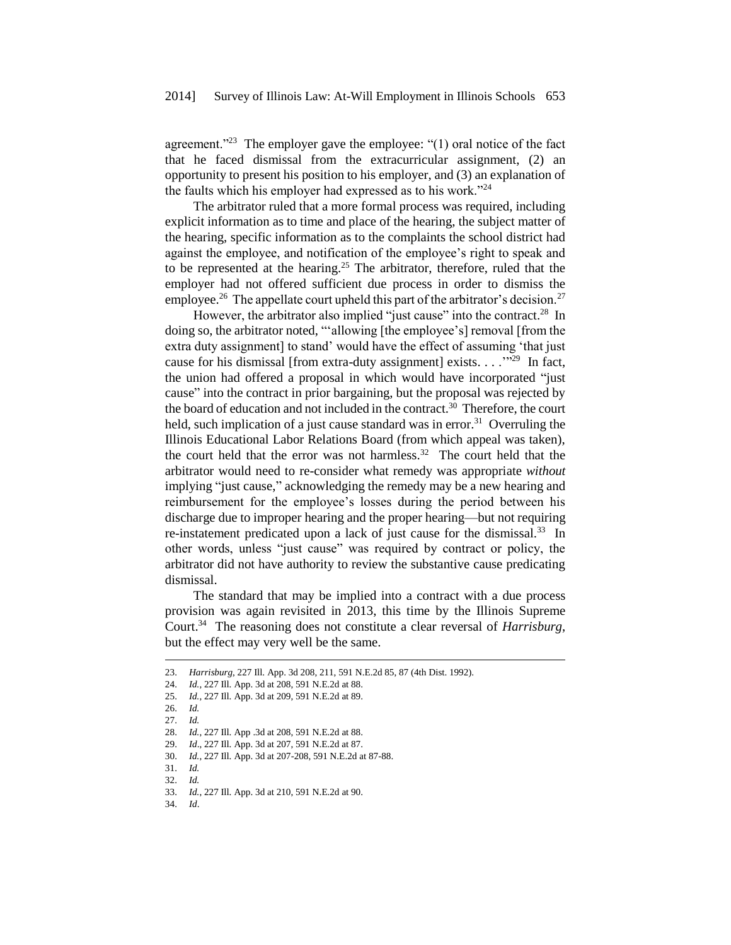agreement."<sup>23</sup> The employer gave the employee: " $(1)$  oral notice of the fact that he faced dismissal from the extracurricular assignment, (2) an opportunity to present his position to his employer, and (3) an explanation of the faults which his employer had expressed as to his work."<sup>24</sup>

The arbitrator ruled that a more formal process was required, including explicit information as to time and place of the hearing, the subject matter of the hearing, specific information as to the complaints the school district had against the employee, and notification of the employee's right to speak and to be represented at the hearing.<sup>25</sup> The arbitrator, therefore, ruled that the employer had not offered sufficient due process in order to dismiss the employee.<sup>26</sup> The appellate court upheld this part of the arbitrator's decision.<sup>27</sup>

However, the arbitrator also implied "just cause" into the contract.<sup>28</sup> In doing so, the arbitrator noted, "'allowing [the employee's] removal [from the extra duty assignment] to stand' would have the effect of assuming 'that just cause for his dismissal [from extra-duty assignment] exists. . . .'"<sup>29</sup> In fact, the union had offered a proposal in which would have incorporated "just cause" into the contract in prior bargaining, but the proposal was rejected by the board of education and not included in the contract.<sup>30</sup> Therefore, the court held, such implication of a just cause standard was in error.<sup>31</sup> Overruling the Illinois Educational Labor Relations Board (from which appeal was taken), the court held that the error was not harmless.<sup>32</sup> The court held that the arbitrator would need to re-consider what remedy was appropriate *without* implying "just cause," acknowledging the remedy may be a new hearing and reimbursement for the employee's losses during the period between his discharge due to improper hearing and the proper hearing—but not requiring re-instatement predicated upon a lack of just cause for the dismissal.<sup>33</sup> In other words, unless "just cause" was required by contract or policy, the arbitrator did not have authority to review the substantive cause predicating dismissal.

The standard that may be implied into a contract with a due process provision was again revisited in 2013, this time by the Illinois Supreme Court.<sup>34</sup> The reasoning does not constitute a clear reversal of *Harrisburg*, but the effect may very well be the same.

1

34. *Id*.

<sup>23.</sup> *Harrisburg*, 227 Ill. App. 3d 208, 211, 591 N.E.2d 85, 87 (4th Dist. 1992).

<sup>24.</sup> *Id.*, 227 Ill. App. 3d at 208, 591 N.E.2d at 88.

<sup>25.</sup> *Id.*, 227 Ill. App. 3d at 209, 591 N.E.2d at 89.

<sup>26.</sup> *Id.*

<sup>27.</sup> *Id.*

<sup>28.</sup> *Id.*, 227 Ill. App .3d at 208, 591 N.E.2d at 88.

<sup>29.</sup> *Id*., 227 Ill. App. 3d at 207, 591 N.E.2d at 87.

<sup>30.</sup> *Id.*, 227 Ill. App. 3d at 207-208, 591 N.E.2d at 87-88.

<sup>31.</sup> *Id.* 32. *Id.*

<sup>33.</sup> *Id.*, 227 Ill. App. 3d at 210, 591 N.E.2d at 90.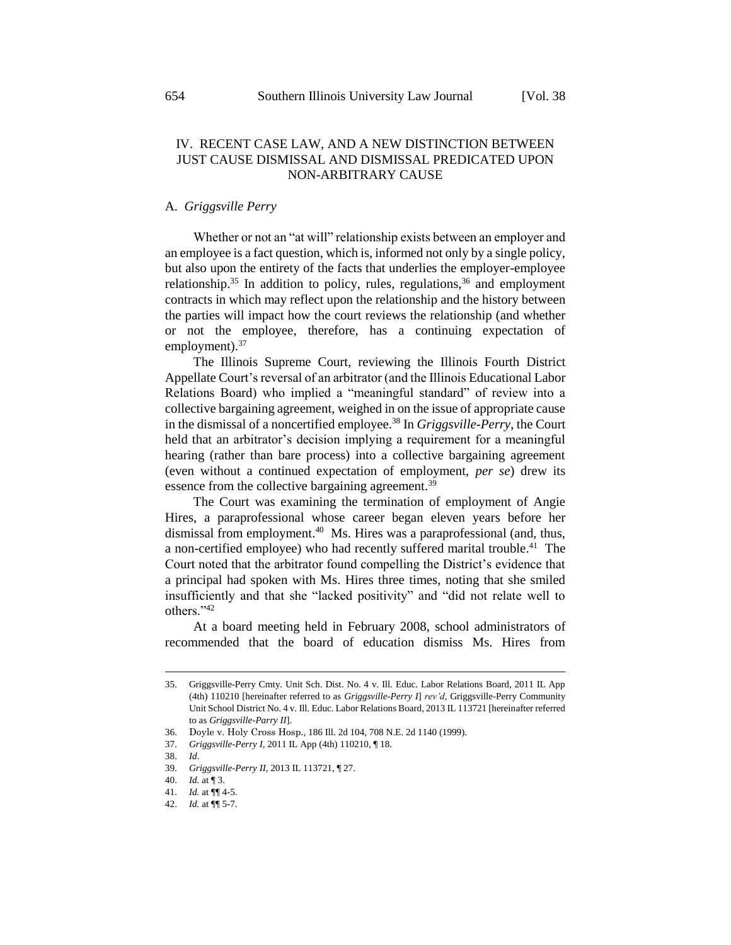# IV. RECENT CASE LAW, AND A NEW DISTINCTION BETWEEN JUST CAUSE DISMISSAL AND DISMISSAL PREDICATED UPON NON-ARBITRARY CAUSE

# A. *Griggsville Perry*

Whether or not an "at will" relationship exists between an employer and an employee is a fact question, which is, informed not only by a single policy, but also upon the entirety of the facts that underlies the employer-employee relationship.<sup>35</sup> In addition to policy, rules, regulations,  $36$  and employment contracts in which may reflect upon the relationship and the history between the parties will impact how the court reviews the relationship (and whether or not the employee, therefore, has a continuing expectation of employment). $37$ 

The Illinois Supreme Court, reviewing the Illinois Fourth District Appellate Court's reversal of an arbitrator (and the Illinois Educational Labor Relations Board) who implied a "meaningful standard" of review into a collective bargaining agreement, weighed in on the issue of appropriate cause in the dismissal of a noncertified employee.<sup>38</sup> In *Griggsville-Perry*, the Court held that an arbitrator's decision implying a requirement for a meaningful hearing (rather than bare process) into a collective bargaining agreement (even without a continued expectation of employment, *per se*) drew its essence from the collective bargaining agreement.<sup>39</sup>

The Court was examining the termination of employment of Angie Hires, a paraprofessional whose career began eleven years before her dismissal from employment.<sup>40</sup> Ms. Hires was a paraprofessional (and, thus, a non-certified employee) who had recently suffered marital trouble.<sup>41</sup> The Court noted that the arbitrator found compelling the District's evidence that a principal had spoken with Ms. Hires three times, noting that she smiled insufficiently and that she "lacked positivity" and "did not relate well to others."<sup>42</sup>

At a board meeting held in February 2008, school administrators of recommended that the board of education dismiss Ms. Hires from

<sup>35.</sup> Griggsville-Perry Cmty. Unit Sch. Dist. No. 4 v. Ill. Educ. Labor Relations Board, 2011 IL App (4th) 110210 [hereinafter referred to as *Griggsville-Perry I*] *rev'd*, Griggsville-Perry Community Unit School District No. 4 v. Ill. Educ. Labor Relations Board, 2013 IL 113721 [hereinafter referred to as *Griggsville-Parry II*].

<sup>36.</sup> Doyle v. Holy Cross Hosp.*,* 186 Ill. 2d 104, 708 N.E. 2d 1140 (1999).

<sup>37.</sup> *Griggsville-Perry I*, 2011 IL App (4th) 110210, ¶ 18.

<sup>38.</sup> *Id*.

<sup>39.</sup> *Griggsville-Perry II*, 2013 IL 113721, ¶ 27.

<sup>40.</sup> *Id.* at ¶ 3.

<sup>41.</sup> *Id.* at ¶¶ 4-5.

<sup>42.</sup> *Id.* at ¶¶ 5-7.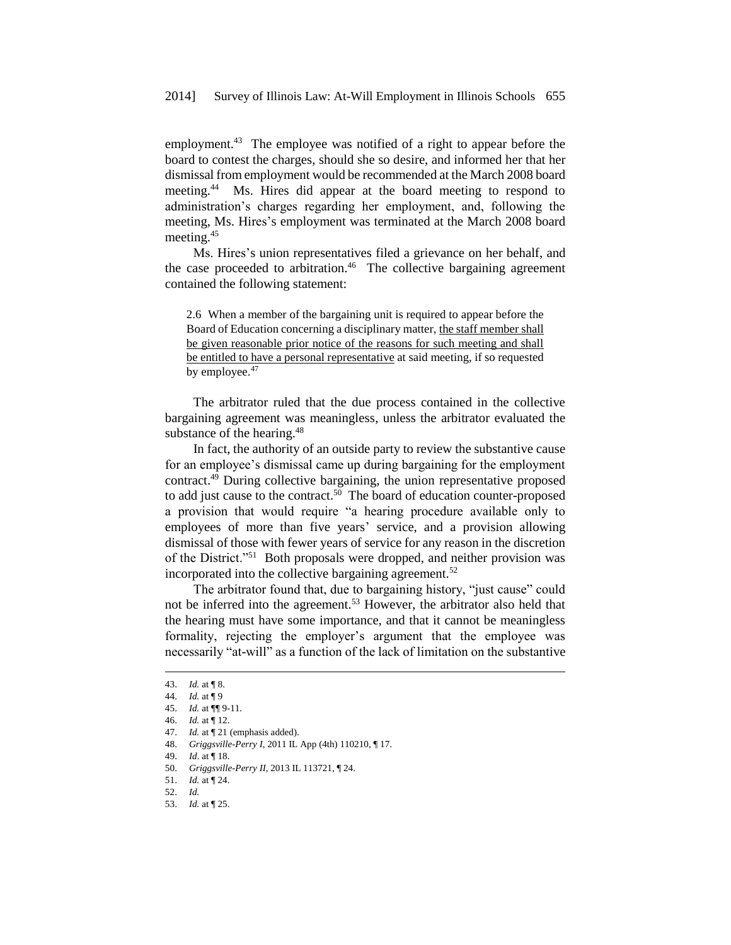employment.<sup>43</sup> The employee was notified of a right to appear before the board to contest the charges, should she so desire, and informed her that her dismissal from employment would be recommended at the March 2008 board meeting.<sup>44</sup> Ms. Hires did appear at the board meeting to respond to administration's charges regarding her employment, and, following the meeting, Ms. Hires's employment was terminated at the March 2008 board meeting.<sup>45</sup>

Ms. Hires's union representatives filed a grievance on her behalf, and the case proceeded to arbitration.<sup>46</sup> The collective bargaining agreement contained the following statement:

2.6 When a member of the bargaining unit is required to appear before the Board of Education concerning a disciplinary matter, the staff member shall be given reasonable prior notice of the reasons for such meeting and shall be entitled to have a personal representative at said meeting, if so requested by employee.<sup>47</sup>

The arbitrator ruled that the due process contained in the collective bargaining agreement was meaningless, unless the arbitrator evaluated the substance of the hearing.<sup>48</sup>

In fact, the authority of an outside party to review the substantive cause for an employee's dismissal came up during bargaining for the employment contract.<sup>49</sup> During collective bargaining, the union representative proposed to add just cause to the contract. $50$  The board of education counter-proposed a provision that would require "a hearing procedure available only to employees of more than five years' service, and a provision allowing dismissal of those with fewer years of service for any reason in the discretion of the District."<sup>51</sup> Both proposals were dropped, and neither provision was incorporated into the collective bargaining agreement.<sup>52</sup>

The arbitrator found that, due to bargaining history, "just cause" could not be inferred into the agreement.<sup>53</sup> However, the arbitrator also held that the hearing must have some importance, and that it cannot be meaningless formality, rejecting the employer's argument that the employee was necessarily "at-will" as a function of the lack of limitation on the substantive

-

53. *Id.* at ¶ 25.

<sup>43.</sup> *Id.* at ¶ 8.

<sup>44.</sup> *Id.* at ¶ 9

<sup>45.</sup> *Id.* at ¶¶ 9-11.

<sup>46.</sup> *Id.* at ¶ 12.

<sup>47.</sup> *Id.* at ¶ 21 (emphasis added).

<sup>48.</sup> *Griggsville-Perry I*, 2011 IL App (4th) 110210, ¶ 17.

<sup>49.</sup> *Id*. at ¶ 18.

<sup>50.</sup> *Griggsville-Perry II*, 2013 IL 113721, ¶ 24.

<sup>51.</sup> *Id.* at ¶ 24.

<sup>52.</sup> *Id.*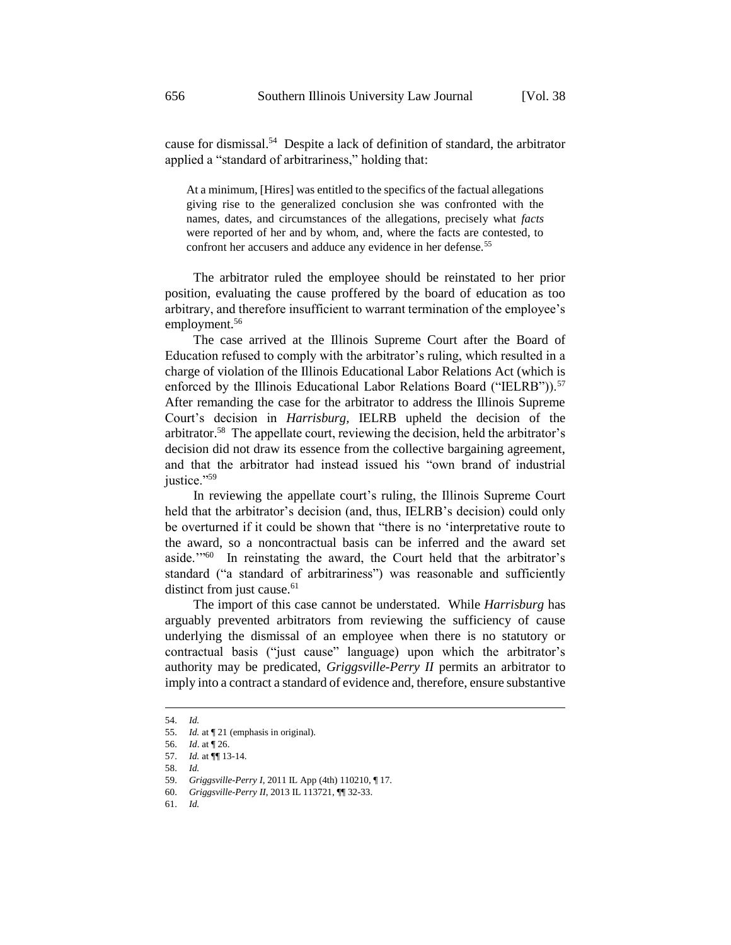cause for dismissal.<sup>54</sup> Despite a lack of definition of standard, the arbitrator applied a "standard of arbitrariness," holding that:

At a minimum, [Hires] was entitled to the specifics of the factual allegations giving rise to the generalized conclusion she was confronted with the names, dates, and circumstances of the allegations, precisely what *facts* were reported of her and by whom, and, where the facts are contested, to confront her accusers and adduce any evidence in her defense.<sup>55</sup>

The arbitrator ruled the employee should be reinstated to her prior position, evaluating the cause proffered by the board of education as too arbitrary, and therefore insufficient to warrant termination of the employee's employment.<sup>56</sup>

The case arrived at the Illinois Supreme Court after the Board of Education refused to comply with the arbitrator's ruling, which resulted in a charge of violation of the Illinois Educational Labor Relations Act (which is enforced by the Illinois Educational Labor Relations Board ("IELRB")).<sup>57</sup> After remanding the case for the arbitrator to address the Illinois Supreme Court's decision in *Harrisburg,* IELRB upheld the decision of the arbitrator.<sup>58</sup> The appellate court, reviewing the decision, held the arbitrator's decision did not draw its essence from the collective bargaining agreement, and that the arbitrator had instead issued his "own brand of industrial justice."<sup>59</sup>

In reviewing the appellate court's ruling, the Illinois Supreme Court held that the arbitrator's decision (and, thus, IELRB's decision) could only be overturned if it could be shown that "there is no 'interpretative route to the award, so a noncontractual basis can be inferred and the award set aside.'"<sup>60</sup> In reinstating the award, the Court held that the arbitrator's standard ("a standard of arbitrariness") was reasonable and sufficiently distinct from just cause.<sup>61</sup>

The import of this case cannot be understated. While *Harrisburg* has arguably prevented arbitrators from reviewing the sufficiency of cause underlying the dismissal of an employee when there is no statutory or contractual basis ("just cause" language) upon which the arbitrator's authority may be predicated, *Griggsville-Perry II* permits an arbitrator to imply into a contract a standard of evidence and, therefore, ensure substantive

<sup>54.</sup> *Id.*

<sup>55.</sup> *Id.* at ¶ 21 (emphasis in original).

<sup>56.</sup> *Id*. at ¶ 26.

<sup>57.</sup> *Id.* at ¶¶ 13-14.

<sup>58.</sup> *Id.*

<sup>59.</sup> *Griggsville-Perry I*, 2011 IL App (4th) 110210, ¶ 17.

<sup>60.</sup> *Griggsville-Perry II*, 2013 IL 113721, ¶¶ 32-33.

<sup>61.</sup> *Id.*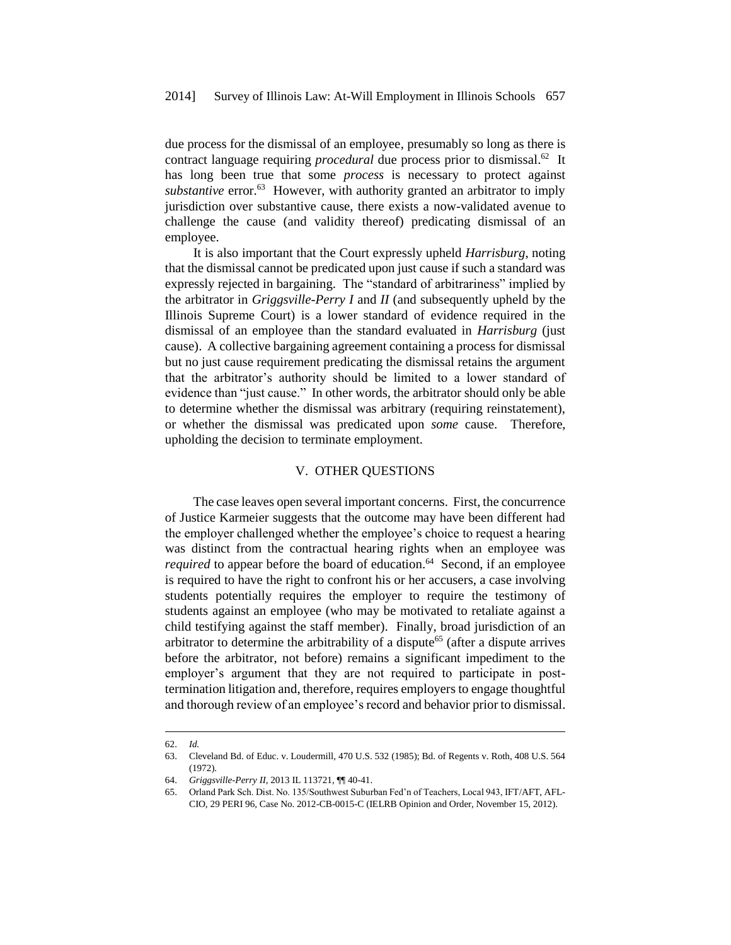due process for the dismissal of an employee, presumably so long as there is contract language requiring *procedural* due process prior to dismissal.<sup>62</sup> It has long been true that some *process* is necessary to protect against *substantive* error.<sup>63</sup> However, with authority granted an arbitrator to imply jurisdiction over substantive cause, there exists a now-validated avenue to challenge the cause (and validity thereof) predicating dismissal of an employee.

It is also important that the Court expressly upheld *Harrisburg*, noting that the dismissal cannot be predicated upon just cause if such a standard was expressly rejected in bargaining. The "standard of arbitrariness" implied by the arbitrator in *Griggsville-Perry I* and *II* (and subsequently upheld by the Illinois Supreme Court) is a lower standard of evidence required in the dismissal of an employee than the standard evaluated in *Harrisburg* (just cause). A collective bargaining agreement containing a process for dismissal but no just cause requirement predicating the dismissal retains the argument that the arbitrator's authority should be limited to a lower standard of evidence than "just cause." In other words, the arbitrator should only be able to determine whether the dismissal was arbitrary (requiring reinstatement), or whether the dismissal was predicated upon *some* cause. Therefore, upholding the decision to terminate employment.

#### V. OTHER QUESTIONS

The case leaves open several important concerns. First, the concurrence of Justice Karmeier suggests that the outcome may have been different had the employer challenged whether the employee's choice to request a hearing was distinct from the contractual hearing rights when an employee was *required* to appear before the board of education.<sup>64</sup> Second, if an employee is required to have the right to confront his or her accusers, a case involving students potentially requires the employer to require the testimony of students against an employee (who may be motivated to retaliate against a child testifying against the staff member). Finally, broad jurisdiction of an arbitrator to determine the arbitrability of a dispute<sup>65</sup> (after a dispute arrives before the arbitrator, not before) remains a significant impediment to the employer's argument that they are not required to participate in posttermination litigation and, therefore, requires employers to engage thoughtful and thorough review of an employee's record and behavior prior to dismissal.

<sup>62.</sup> *Id.*

<sup>63.</sup> Cleveland Bd. of Educ. v. Loudermill, 470 U.S. 532 (1985); Bd. of Regents v. Roth, 408 U.S. 564 (1972).

<sup>64.</sup> *Griggsville-Perry II*, 2013 IL 113721, ¶¶ 40-41.

<sup>65.</sup> Orland Park Sch. Dist. No. 135/Southwest Suburban Fed'n of Teachers, Local 943, IFT/AFT, AFL-CIO, 29 PERI 96, Case No. 2012-CB-0015-C (IELRB Opinion and Order, November 15, 2012).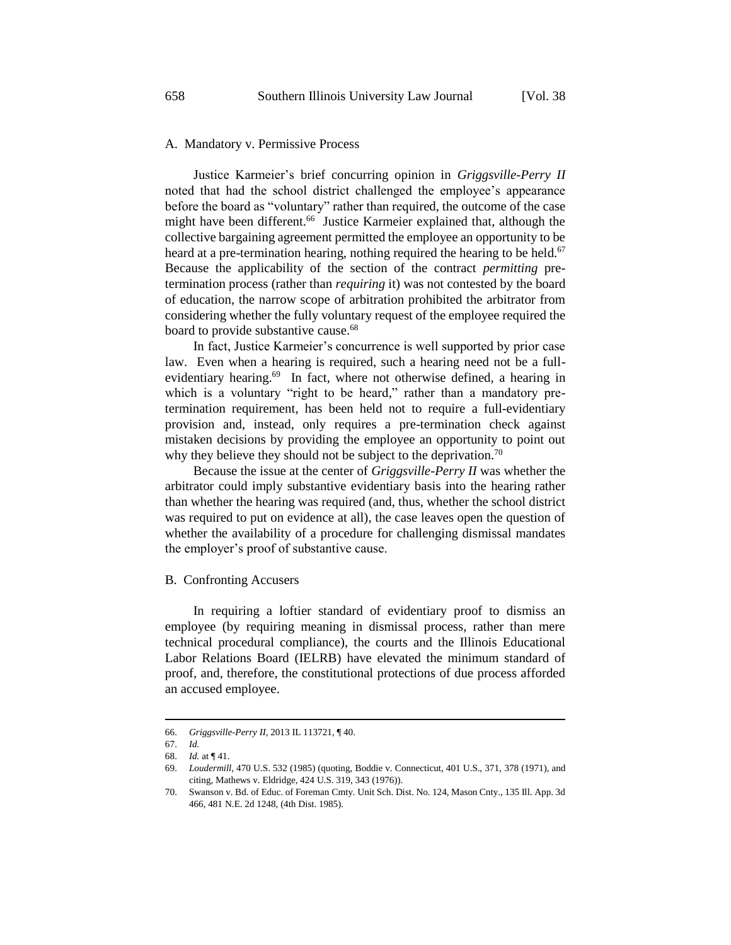# A. Mandatory v. Permissive Process

Justice Karmeier's brief concurring opinion in *Griggsville-Perry II* noted that had the school district challenged the employee's appearance before the board as "voluntary" rather than required, the outcome of the case might have been different.<sup>66</sup> Justice Karmeier explained that, although the collective bargaining agreement permitted the employee an opportunity to be heard at a pre-termination hearing, nothing required the hearing to be held.<sup>67</sup> Because the applicability of the section of the contract *permitting* pretermination process (rather than *requiring* it) was not contested by the board of education, the narrow scope of arbitration prohibited the arbitrator from considering whether the fully voluntary request of the employee required the board to provide substantive cause.<sup>68</sup>

In fact, Justice Karmeier's concurrence is well supported by prior case law. Even when a hearing is required, such a hearing need not be a fullevidentiary hearing.<sup>69</sup> In fact, where not otherwise defined, a hearing in which is a voluntary "right to be heard," rather than a mandatory pretermination requirement, has been held not to require a full-evidentiary provision and, instead, only requires a pre-termination check against mistaken decisions by providing the employee an opportunity to point out why they believe they should not be subject to the deprivation.<sup>70</sup>

Because the issue at the center of *Griggsville-Perry II* was whether the arbitrator could imply substantive evidentiary basis into the hearing rather than whether the hearing was required (and, thus, whether the school district was required to put on evidence at all), the case leaves open the question of whether the availability of a procedure for challenging dismissal mandates the employer's proof of substantive cause.

B. Confronting Accusers

In requiring a loftier standard of evidentiary proof to dismiss an employee (by requiring meaning in dismissal process, rather than mere technical procedural compliance), the courts and the Illinois Educational Labor Relations Board (IELRB) have elevated the minimum standard of proof, and, therefore, the constitutional protections of due process afforded an accused employee.

<sup>66.</sup> *Griggsville-Perry II*, 2013 IL 113721, ¶ 40.

<sup>67.</sup> *Id.*

<sup>68.</sup> *Id.* at ¶ 41.

<sup>69.</sup> *Loudermill*, 470 U.S. 532 (1985) (quoting, Boddie v. Connecticut, 401 U.S., 371, 378 (1971), and citing, Mathews v. Eldridge, 424 U.S. 319, 343 (1976)).

<sup>70.</sup> Swanson v. Bd. of Educ. of Foreman Cmty. Unit Sch. Dist. No. 124, Mason Cnty., 135 Ill. App. 3d 466, 481 N.E. 2d 1248, (4th Dist. 1985).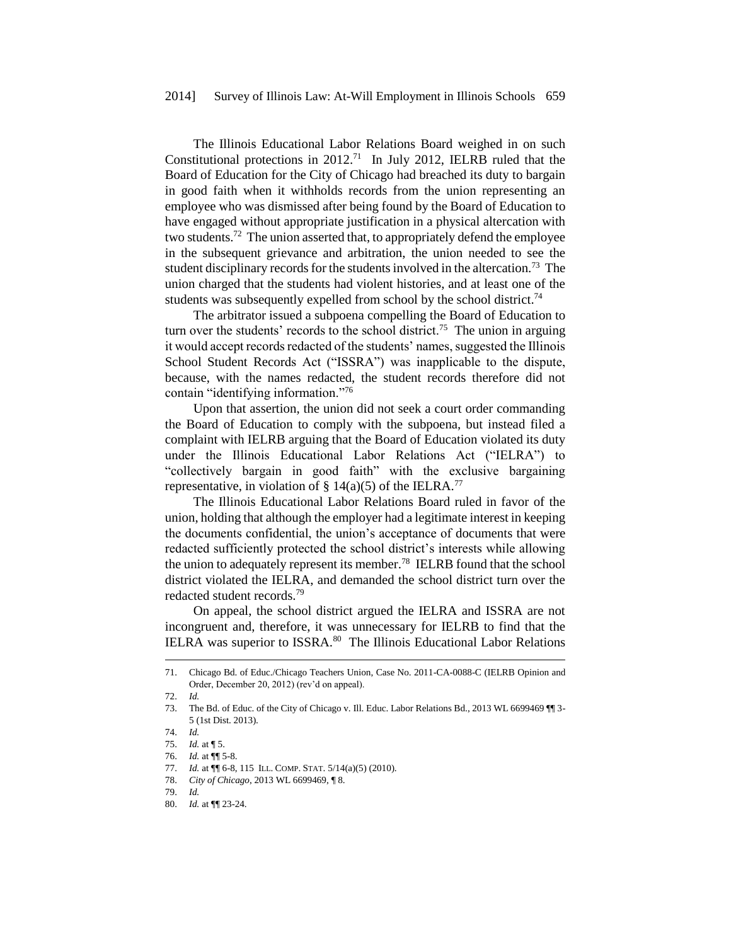The Illinois Educational Labor Relations Board weighed in on such Constitutional protections in  $2012$ .<sup>71</sup> In July 2012, IELRB ruled that the Board of Education for the City of Chicago had breached its duty to bargain in good faith when it withholds records from the union representing an employee who was dismissed after being found by the Board of Education to have engaged without appropriate justification in a physical altercation with two students.<sup>72</sup> The union asserted that, to appropriately defend the employee in the subsequent grievance and arbitration, the union needed to see the student disciplinary records for the students involved in the altercation.<sup>73</sup> The union charged that the students had violent histories, and at least one of the students was subsequently expelled from school by the school district.<sup>74</sup>

The arbitrator issued a subpoena compelling the Board of Education to turn over the students' records to the school district.<sup>75</sup> The union in arguing it would accept records redacted of the students' names, suggested the Illinois School Student Records Act ("ISSRA") was inapplicable to the dispute, because, with the names redacted, the student records therefore did not contain "identifying information."<sup>76</sup>

Upon that assertion, the union did not seek a court order commanding the Board of Education to comply with the subpoena, but instead filed a complaint with IELRB arguing that the Board of Education violated its duty under the Illinois Educational Labor Relations Act ("IELRA") to "collectively bargain in good faith" with the exclusive bargaining representative, in violation of  $\S$  14(a)(5) of the IELRA.<sup>77</sup>

The Illinois Educational Labor Relations Board ruled in favor of the union, holding that although the employer had a legitimate interest in keeping the documents confidential, the union's acceptance of documents that were redacted sufficiently protected the school district's interests while allowing the union to adequately represent its member.<sup>78</sup> IELRB found that the school district violated the IELRA, and demanded the school district turn over the redacted student records.<sup>79</sup>

On appeal, the school district argued the IELRA and ISSRA are not incongruent and, therefore, it was unnecessary for IELRB to find that the IELRA was superior to ISSRA.<sup>80</sup> The Illinois Educational Labor Relations

<sup>71.</sup> Chicago Bd. of Educ./Chicago Teachers Union, Case No. 2011-CA-0088-C (IELRB Opinion and Order, December 20, 2012) (rev'd on appeal).

<sup>72.</sup> *Id.*

<sup>73.</sup> The Bd. of Educ. of the City of Chicago v. Ill. Educ. Labor Relations Bd., 2013 WL 6699469 ¶¶ 3- 5 (1st Dist. 2013).

<sup>74.</sup> *Id.*

<sup>75.</sup> *Id.* at ¶ 5. 76. *Id.* at ¶¶ 5-8.

<sup>77.</sup> *Id.* at ¶¶ 6-8, 115 ILL. COMP. STAT. 5/14(a)(5) (2010).

<sup>78.</sup> *City of Chicago*, 2013 WL 6699469, ¶ 8.

<sup>79.</sup> *Id.*

<sup>80.</sup> *Id.* at ¶¶ 23-24.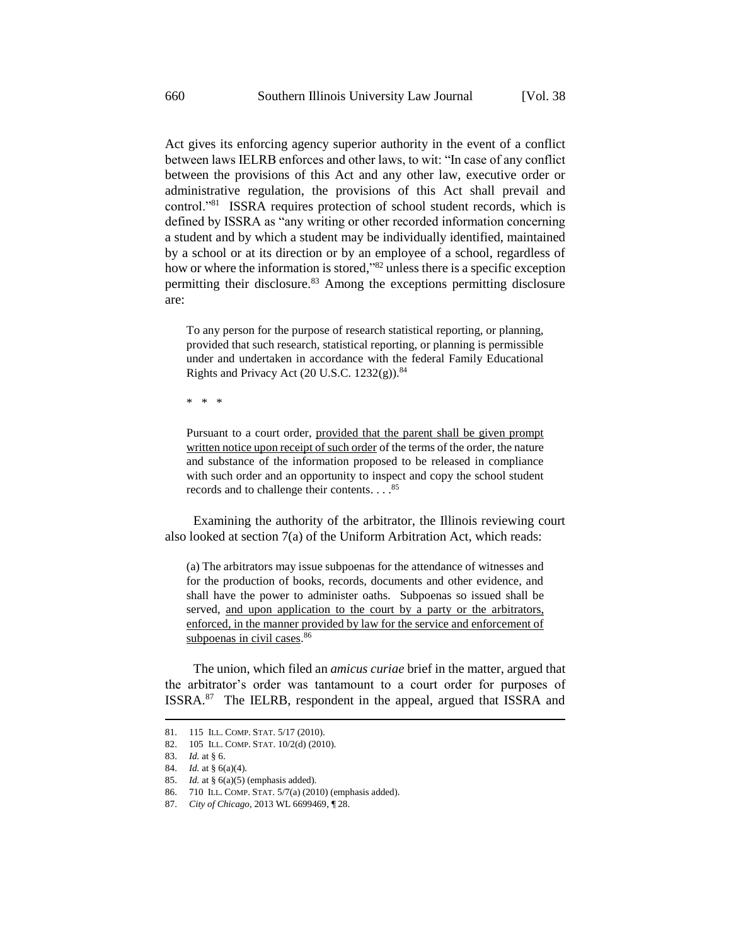Act gives its enforcing agency superior authority in the event of a conflict between laws IELRB enforces and other laws, to wit: "In case of any conflict between the provisions of this Act and any other law, executive order or administrative regulation, the provisions of this Act shall prevail and control."<sup>81</sup> ISSRA requires protection of school student records, which is defined by ISSRA as "any writing or other recorded information concerning a student and by which a student may be individually identified, maintained by a school or at its direction or by an employee of a school, regardless of how or where the information is stored,<sup>882</sup> unless there is a specific exception permitting their disclosure.<sup>83</sup> Among the exceptions permitting disclosure are:

To any person for the purpose of research statistical reporting, or planning, provided that such research, statistical reporting, or planning is permissible under and undertaken in accordance with the federal Family Educational Rights and Privacy Act  $(20 \text{ U.S.C. } 1232(g))$ .<sup>84</sup>

\* \* \*

Pursuant to a court order, provided that the parent shall be given prompt written notice upon receipt of such order of the terms of the order, the nature and substance of the information proposed to be released in compliance with such order and an opportunity to inspect and copy the school student records and to challenge their contents. . . . 85

Examining the authority of the arbitrator, the Illinois reviewing court also looked at section 7(a) of the Uniform Arbitration Act, which reads:

(a) The arbitrators may issue subpoenas for the attendance of witnesses and for the production of books, records, documents and other evidence, and shall have the power to administer oaths. Subpoenas so issued shall be served, and upon application to the court by a party or the arbitrators, enforced, in the manner provided by law for the service and enforcement of subpoenas in civil cases.<sup>86</sup>

The union, which filed an *amicus curiae* brief in the matter, argued that the arbitrator's order was tantamount to a court order for purposes of ISSRA.<sup>87</sup> The IELRB, respondent in the appeal, argued that ISSRA and

<sup>81. 115</sup> ILL. COMP. STAT. 5/17 (2010).

<sup>82. 105</sup> ILL. COMP. STAT. 10/2(d) (2010).

<sup>83.</sup> *Id.* at § 6.

<sup>84.</sup> *Id.* at § 6(a)(4).

<sup>85.</sup> *Id.* at § 6(a)(5) (emphasis added).

<sup>86. 710</sup> ILL. COMP. STAT. 5/7(a) (2010) (emphasis added).

<sup>87.</sup> *City of Chicago*, 2013 WL 6699469, ¶ 28.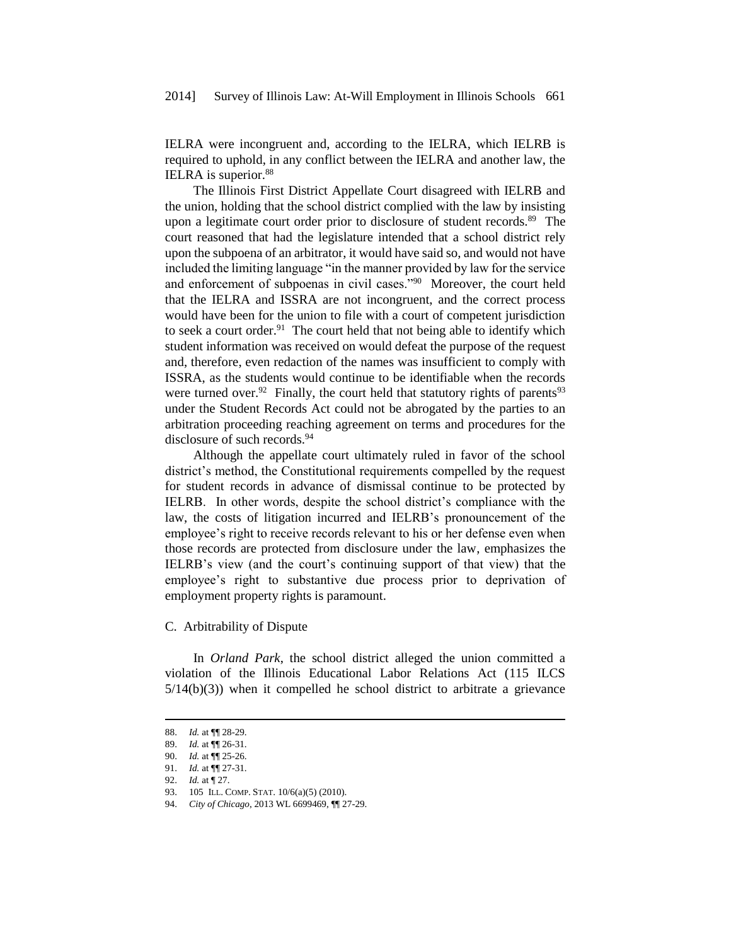IELRA were incongruent and, according to the IELRA, which IELRB is required to uphold, in any conflict between the IELRA and another law, the IELRA is superior.<sup>88</sup>

The Illinois First District Appellate Court disagreed with IELRB and the union, holding that the school district complied with the law by insisting upon a legitimate court order prior to disclosure of student records.<sup>89</sup> The court reasoned that had the legislature intended that a school district rely upon the subpoena of an arbitrator, it would have said so, and would not have included the limiting language "in the manner provided by law for the service and enforcement of subpoenas in civil cases."<sup>90</sup> Moreover, the court held that the IELRA and ISSRA are not incongruent, and the correct process would have been for the union to file with a court of competent jurisdiction to seek a court order.<sup>91</sup> The court held that not being able to identify which student information was received on would defeat the purpose of the request and, therefore, even redaction of the names was insufficient to comply with ISSRA, as the students would continue to be identifiable when the records were turned over.<sup>92</sup> Finally, the court held that statutory rights of parents<sup>93</sup> under the Student Records Act could not be abrogated by the parties to an arbitration proceeding reaching agreement on terms and procedures for the disclosure of such records.<sup>94</sup>

Although the appellate court ultimately ruled in favor of the school district's method, the Constitutional requirements compelled by the request for student records in advance of dismissal continue to be protected by IELRB. In other words, despite the school district's compliance with the law, the costs of litigation incurred and IELRB's pronouncement of the employee's right to receive records relevant to his or her defense even when those records are protected from disclosure under the law, emphasizes the IELRB's view (and the court's continuing support of that view) that the employee's right to substantive due process prior to deprivation of employment property rights is paramount.

C. Arbitrability of Dispute

In *Orland Park*, the school district alleged the union committed a violation of the Illinois Educational Labor Relations Act (115 ILCS  $5/14(b)(3)$ ) when it compelled he school district to arbitrate a grievance

<sup>88.</sup> *Id.* at ¶¶ 28-29.

<sup>89.</sup> *Id.* at ¶¶ 26-31.

<sup>90.</sup> *Id.* at ¶¶ 25-26.

<sup>91.</sup> *Id.* at ¶¶ 27-31.

<sup>92.</sup> *Id.* at ¶ 27.

<sup>93. 105</sup> ILL. COMP. STAT. 10/6(a)(5) (2010).

<sup>94.</sup> *City of Chicago*, 2013 WL 6699469, ¶¶ 27-29.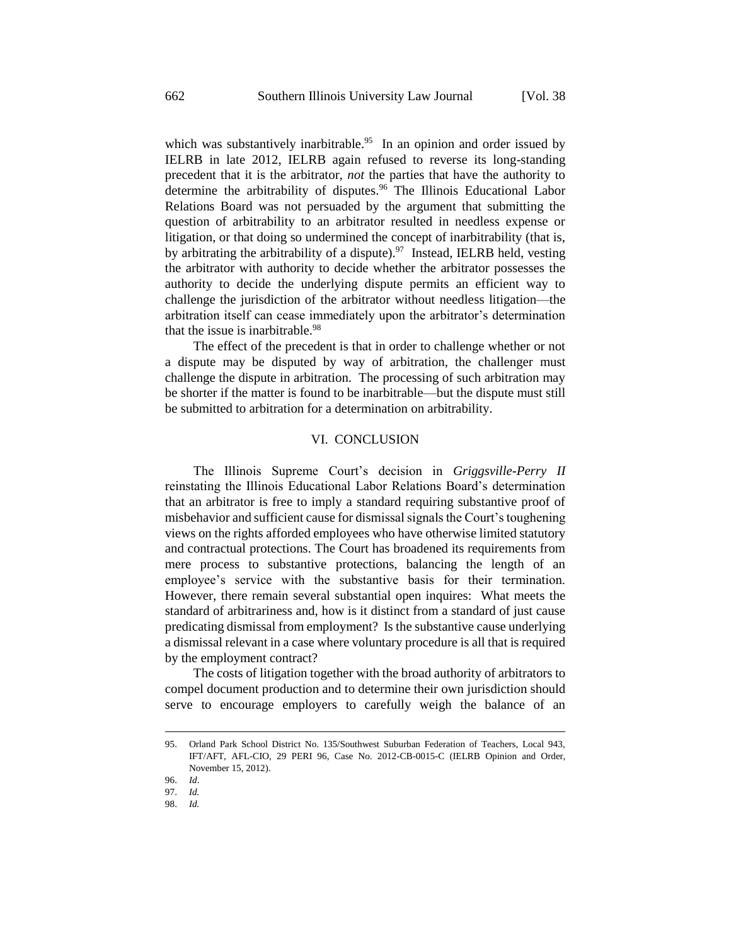which was substantively inarbitrable.<sup>95</sup> In an opinion and order issued by IELRB in late 2012, IELRB again refused to reverse its long-standing precedent that it is the arbitrator, *not* the parties that have the authority to determine the arbitrability of disputes.<sup>96</sup> The Illinois Educational Labor Relations Board was not persuaded by the argument that submitting the question of arbitrability to an arbitrator resulted in needless expense or litigation, or that doing so undermined the concept of inarbitrability (that is, by arbitrating the arbitrability of a dispute).<sup>97</sup> Instead, IELRB held, vesting the arbitrator with authority to decide whether the arbitrator possesses the authority to decide the underlying dispute permits an efficient way to challenge the jurisdiction of the arbitrator without needless litigation—the arbitration itself can cease immediately upon the arbitrator's determination that the issue is inarbitrable.  $98$ 

The effect of the precedent is that in order to challenge whether or not a dispute may be disputed by way of arbitration, the challenger must challenge the dispute in arbitration. The processing of such arbitration may be shorter if the matter is found to be inarbitrable—but the dispute must still be submitted to arbitration for a determination on arbitrability.

# VI. CONCLUSION

The Illinois Supreme Court's decision in *Griggsville-Perry II* reinstating the Illinois Educational Labor Relations Board's determination that an arbitrator is free to imply a standard requiring substantive proof of misbehavior and sufficient cause for dismissal signals the Court's toughening views on the rights afforded employees who have otherwise limited statutory and contractual protections. The Court has broadened its requirements from mere process to substantive protections, balancing the length of an employee's service with the substantive basis for their termination. However, there remain several substantial open inquires: What meets the standard of arbitrariness and, how is it distinct from a standard of just cause predicating dismissal from employment? Is the substantive cause underlying a dismissal relevant in a case where voluntary procedure is all that is required by the employment contract?

The costs of litigation together with the broad authority of arbitrators to compel document production and to determine their own jurisdiction should serve to encourage employers to carefully weigh the balance of an

<sup>95.</sup> Orland Park School District No. 135/Southwest Suburban Federation of Teachers, Local 943, IFT/AFT, AFL-CIO, 29 PERI 96, Case No. 2012-CB-0015-C (IELRB Opinion and Order, November 15, 2012).

<sup>96.</sup> *Id*.

<sup>97.</sup> *Id.*

<sup>98.</sup> *Id.*